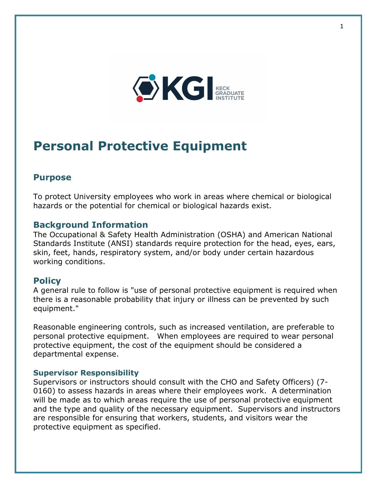

# Personal Protective Equipment

# Purpose

To protect University employees who work in areas where chemical or biological hazards or the potential for chemical or biological hazards exist.

# Background Information

The Occupational & Safety Health Administration (OSHA) and American National Standards Institute (ANSI) standards require protection for the head, eyes, ears, skin, feet, hands, respiratory system, and/or body under certain hazardous working conditions.

# **Policy**

A general rule to follow is "use of personal protective equipment is required when there is a reasonable probability that injury or illness can be prevented by such equipment."

Reasonable engineering controls, such as increased ventilation, are preferable to personal protective equipment. When employees are required to wear personal protective equipment, the cost of the equipment should be considered a departmental expense.

## Supervisor Responsibility

Supervisors or instructors should consult with the CHO and Safety Officers) (7- 0160) to assess hazards in areas where their employees work. A determination will be made as to which areas require the use of personal protective equipment and the type and quality of the necessary equipment. Supervisors and instructors are responsible for ensuring that workers, students, and visitors wear the protective equipment as specified.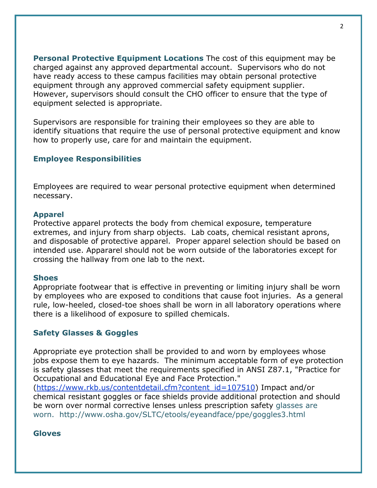Personal Protective Equipment Locations The cost of this equipment may be charged against any approved departmental account. Supervisors who do not have ready access to these campus facilities may obtain personal protective equipment through any approved commercial safety equipment supplier. However, supervisors should consult the CHO officer to ensure that the type of equipment selected is appropriate.

Supervisors are responsible for training their employees so they are able to identify situations that require the use of personal protective equipment and know how to properly use, care for and maintain the equipment.

# Employee Responsibilities

Employees are required to wear personal protective equipment when determined necessary.

#### Apparel

Protective apparel protects the body from chemical exposure, temperature extremes, and injury from sharp objects. Lab coats, chemical resistant aprons, and disposable of protective apparel. Proper apparel selection should be based on intended use. Appararel should not be worn outside of the laboratories except for crossing the hallway from one lab to the next.

#### **Shoes**

Appropriate footwear that is effective in preventing or limiting injury shall be worn by employees who are exposed to conditions that cause foot injuries. As a general rule, low-heeled, closed-toe shoes shall be worn in all laboratory operations where there is a likelihood of exposure to spilled chemicals.

## Safety Glasses & Goggles

Appropriate eye protection shall be provided to and worn by employees whose jobs expose them to eye hazards. The minimum acceptable form of eye protection is safety glasses that meet the requirements specified in ANSI Z87.1, "Practice for Occupational and Educational Eye and Face Protection."

(https://www.rkb.us/contentdetail.cfm?content\_id=107510) Impact and/or chemical resistant goggles or face shields provide additional protection and should be worn over normal corrective lenses unless prescription safety glasses are worn. http://www.osha.gov/SLTC/etools/eyeandface/ppe/goggles3.html

## Gloves